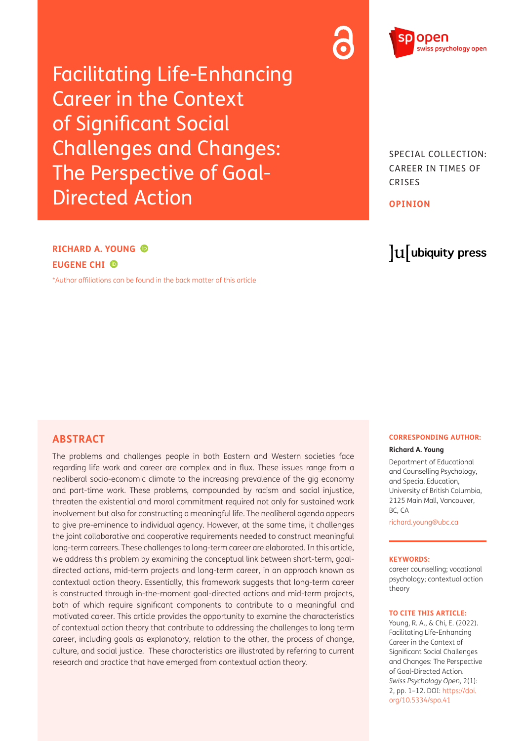Facilitating Life-Enhancing Career in the Context of Significant Social Challenges and Changes: The Perspective of Goal-Directed Action

SPECIAL COLLECTION: CAREER IN TIMES OF CRISES

**OPINION**

# lu ubiquity press

# **RICHARD A. YOUNG EUGENE CHI**

[\\*Author affiliations can be found in the back matter of this article](#page-7-0)

# **ABSTRACT**

The problems and challenges people in both Eastern and Western societies face regarding life work and career are complex and in flux. These issues range from a neoliberal socio-economic climate to the increasing prevalence of the gig economy and part-time work. These problems, compounded by racism and social injustice, threaten the existential and moral commitment required not only for sustained work involvement but also for constructing a meaningful life. The neoliberal agenda appears to give pre-eminence to individual agency. However, at the same time, it challenges the joint collaborative and cooperative requirements needed to construct meaningful long-term carreers. These challenges to long-term career are elaborated. In this article, we address this problem by examining the conceptual link between short-term, goaldirected actions, mid-term projects and long-term career, in an approach known as contextual action theory. Essentially, this framework suggests that long-term career is constructed through in-the-moment goal-directed actions and mid-term projects, both of which require significant components to contribute to a meaningful and motivated career. This article provides the opportunity to examine the characteristics of contextual action theory that contribute to addressing the challenges to long term career, including goals as explanatory, relation to the other, the process of change, culture, and social justice. These characteristics are illustrated by referring to current research and practice that have emerged from contextual action theory.

#### **CORRESPONDING AUTHOR:**

#### **Richard A. Young**

Department of Educational and Counselling Psychology, and Special Education, University of British Columbia, 2125 Main Mall, Vancouver, BC, CA

[richard.young@ubc.ca](mailto:richard.young@ubc.ca)

#### **KEYWORDS:**

career counselling; vocational psychology; contextual action theory

#### **TO CITE THIS ARTICLE:**

Young, R. A., & Chi, E. (2022). Facilitating Life-Enhancing Career in the Context of Significant Social Challenges and Changes: The Perspective of Goal-Directed Action. *Swiss Psychology Open,* 2(1): 2, pp. 1–12. DOI: [https://doi.](https://doi.org/10.5334/spo.41) [org/10.5334/spo.41](https://doi.org/10.5334/spo.41)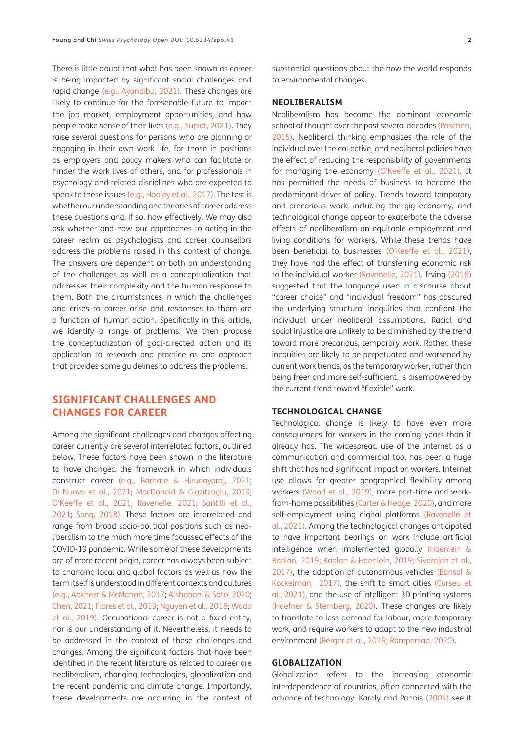There is little doubt that what has been known as career is being impacted by significant social challenges and rapid change [\(e.g., Ayandibu, 2021\).](#page-7-1) These changes are likely to continue for the foreseeable future to impact the job market, employment opportunities, and how people make sense of their lives [\(e.g., Supiot, 2021\).](#page-10-0) They raise several questions for persons who are planning or engaging in their own work life, for those in positions as employers and policy makers who can facilitate or hinder the work lives of others, and for professionals in psychology and related disciplines who are expected to speak to these issues [\(e.g., Hooley et al., 2017\).](#page-8-0) The test is whether our understanding and theories of career address these questions and, if so, how effectively. We may also ask whether and how our approaches to acting in the career realm as psychologists and career counsellors address the problems raised in this context of change. The answers are dependent on both an understanding of the challenges as well as a conceptualization that addresses their complexity and the human response to them. Both the circumstances in which the challenges and crises to career arise and responses to them are a function of human action. Specifically in this article, we identify a range of problems. We then propose the conceptualization of goal-directed action and its application to research and practice as one approach that provides some guidelines to address the problems.

# **SIGNIFICANT CHALLENGES AND CHANGES FOR CAREER**

Among the significant challenges and changes affecting career currently are several interrelated factors, outlined below. These factors have been shown in the literature to have changed the framework in which individuals construct career [\(e.g., Barhate & Hirudayaraj, 2021](#page-7-2); [Di Nuovo et al., 2021;](#page-8-1) [MacDonald & Giazitzoglu, 2019](#page-9-0); O'Keeffe et al., 2021; [Ravenelle, 2021;](#page-10-1) [Santilli et al.,](#page-10-2) [2021](#page-10-2); [Song, 2018\)](#page-10-3). These factors are interrelated and range from broad socio-political positions such as neoliberalism to the much more time focussed effects of the COVID-19 pandemic. While some of these developments are of more recent origin, career has always been subject to changing local and global factors as well as how the term itself is understood in different contexts and cultures [\(e.g., Abkhezr & McMahon, 2017](#page-7-3); Alshabani & Soto, 2020; [Chen, 2021;](#page-8-2) [Flores et al., 2019;](#page-8-3) [Nguyen et al., 2018;](#page-9-1) Wada et al., 2019). Occupational career is not a fixed entity, nor is our understanding of it. Nevertheless, it needs to be addressed in the context of these challenges and changes. Among the significant factors that have been identified in the recent literature as related to career are neoliberalism, changing technologies, globalization and the recent pandemic and climate change. Importantly, these developments are occurring in the context of substantial questions about the how the world responds to environmental changes.

# **NEOLIBERALISM**

Neoliberalism has become the dominant economic school of thought over the past several decades [\(Poschen,](#page-9-2)  [2015\).](#page-9-2) Neoliberal thinking emphasizes the role of the individual over the collective, and neoliberal policies have the effect of reducing the responsibility of governments for managing the economy (O'Keeffe et al., 2021). It has permitted the needs of business to become the predominant driver of policy. Trends toward temporary and precarious work, including the gig economy, and technological change appear to exacerbate the adverse effects of neoliberalism on equitable employment and living conditions for workers. While these trends have been beneficial to businesses (O'Keeffe et al., 2021), they have had the effect of transferring economic risk to the individual worker [\(Ravenelle, 2021\)](#page-10-1). Irving [\(2018\)](#page-8-4)  suggested that the language used in discourse about "career choice" and "individual freedom" has obscured the underlying structural inequities that confront the individual under neoliberal assumptions. Racial and social injustice are unlikely to be diminished by the trend toward more precarious, temporary work. Rather, these inequities are likely to be perpetuated and worsened by current work trends, as the temporary worker, rather than being freer and more self-sufficient, is disempowered by the current trend toward "flexible" work.

# **TECHNOLOGICAL CHANGE**

Technological change is likely to have even more consequences for workers in the coming years than it already has. The widespread use of the Internet as a communication and commercial tool has been a huge shift that has had significant impact on workers. Internet use allows for greater geographical flexibility among workers (Wood et al., 2019), more part-time and workfrom-home possibilities [\(Carter & Hedge, 2020\),](#page-8-5) and more self-employment using digital platforms [\(Ravenelle et](#page-10-4)  [al., 2021\)](#page-10-4). Among the technological changes anticipated to have important bearings on work include artificial intelligence when implemented globally [\(Haenlein &](#page-8-6)  [Kaplan, 2019](#page-8-6); Kaplan & Haenlein, 2019; [Sivarajah et al.,](#page-10-5)  [2017\),](#page-10-5) the adoption of autonomous vehicles [\(Bansal &](#page-7-4)  [Kockelman, 2017\)](#page-7-4), the shift to smart cities (Curşeu et al., 2021), and the use of intelligent 3D printing systems [\(Haefner & Sternberg, 2020\)](#page-8-7). These changes are likely to translate to less demand for labour, more temporary work, and require workers to adapt to the new industrial environment [\(Berger et al., 2019;](#page-7-5) [Rampersad, 2020\).](#page-10-6)

# **GLOBALIZATION**

Globalization refers to the increasing economic interdependence of countries, often connected with the advance of technology. Karoly and Pannis [\(2004\)](#page-9-3) see it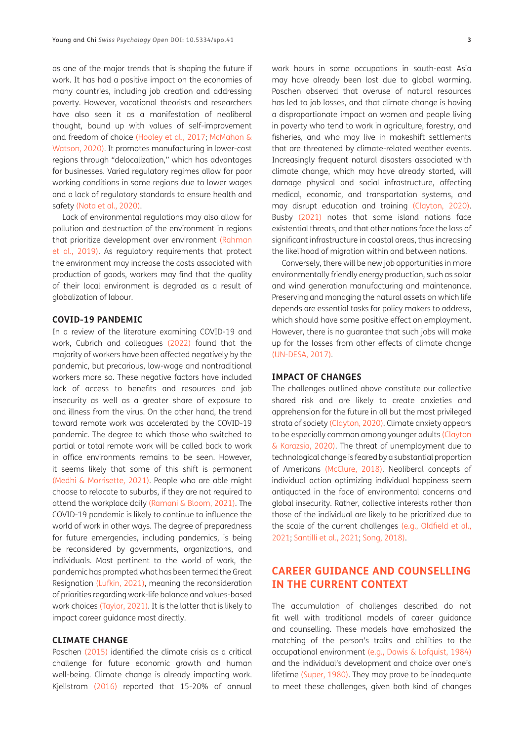as one of the major trends that is shaping the future if work. It has had a positive impact on the economies of many countries, including job creation and addressing poverty. However, vocational theorists and researchers have also seen it as a manifestation of neoliberal thought, bound up with values of self-improvement and freedom of choice [\(Hooley et al., 2017](#page-8-0); [McMahon &](#page-9-4) [Watson, 2020\)](#page-9-4). It promotes manufacturing in lower-cost regions through "delocalization," which has advantages for businesses. Varied regulatory regimes allow for poor working conditions in some regions due to lower wages and a lack of regulatory standards to ensure health and safety [\(Nota et al., 2020\)](#page-9-5).

Lack of environmental regulations may also allow for pollution and destruction of the environment in regions that prioritize development over environment [\(Rahman](#page-10-7) [et al., 2019\).](#page-10-7) As regulatory requirements that protect the environment may increase the costs associated with production of goods, workers may find that the quality of their local environment is degraded as a result of globalization of labour.

#### **COVID-19 PANDEMIC**

In a review of the literature examining COVID-19 and work, Cubrich and colleagues [\(2022\)](#page-8-8) found that the majority of workers have been affected negatively by the pandemic, but precarious, low-wage and nontraditional workers more so. These negative factors have included lack of access to benefits and resources and job insecurity as well as a greater share of exposure to and illness from the virus. On the other hand, the trend toward remote work was accelerated by the COVID-19 pandemic. The degree to which those who switched to partial or total remote work will be called back to work in office environments remains to be seen. However, it seems likely that some of this shift is permanent [\(Medhi & Morrisette, 2021\).](#page-9-6) People who are able might choose to relocate to suburbs, if they are not required to attend the workplace daily [\(Ramani & Bloom, 2021\)](#page-10-4). The COVID-19 pandemic is likely to continue to influence the world of work in other ways. The degree of preparedness for future emergencies, including pandemics, is being be reconsidered by governments, organizations, and individuals. Most pertinent to the world of work, the pandemic has prompted what has been termed the Great Resignation (Lufkin, 2021), meaning the reconsideration of priorities regarding work-life balance and values-based work choices (Taylor, 2021). It is the latter that is likely to impact career guidance most directly.

# **CLIMATE CHANGE**

Poschen [\(2015\)](#page-9-2) identified the climate crisis as a critical challenge for future economic growth and human well-being. Climate change is already impacting work. Kjellstrom [\(2016\)](#page-9-7) reported that 15-20% of annual work hours in some occupations in south-east Asia may have already been lost due to global warming. Poschen observed that overuse of natural resources has led to job losses, and that climate change is having a disproportionate impact on women and people living in poverty who tend to work in agriculture, forestry, and fisheries, and who may live in makeshift settlements that are threatened by climate-related weather events. Increasingly frequent natural disasters associated with climate change, which may have already started, will damage physical and social infrastructure, affecting medical, economic, and transportation systems, and may disrupt education and training [\(Clayton, 2020\).](#page-8-9) Busby [\(2021\)](#page-8-10) notes that some island nations face existential threats, and that other nations face the loss of significant infrastructure in coastal areas, thus increasing the likelihood of migration within and between nations.

Conversely, there will be new job opportunities in more environmentally friendly energy production, such as solar and wind generation manufacturing and maintenance. Preserving and managing the natural assets on which life depends are essential tasks for policy makers to address, which should have some positive effect on employment. However, there is no guarantee that such jobs will make up for the losses from other effects of climate change (UN-DESA, 2017).

#### **IMPACT OF CHANGES**

The challenges outlined above constitute our collective shared risk and are likely to create anxieties and apprehension for the future in all but the most privileged strata of society [\(Clayton, 2020\).](#page-8-9) Climate anxiety appears to be especially common among younger adults [\(Clayton](#page-8-11)  [& Karazsia, 2020\).](#page-8-11) The threat of unemployment due to technological change is feared by a substantial proportion of Americans (McClure, 2018). Neoliberal concepts of individual action optimizing individual happiness seem antiquated in the face of environmental concerns and global insecurity. Rather, collective interests rather than those of the individual are likely to be prioritized due to the scale of the current challenges [\(e.g., Oldfield et al.,](#page-9-8)  [2021;](#page-9-8) [Santilli et al., 2021;](#page-10-2) [Song, 2018\)](#page-10-3).

# **CAREER GUIDANCE AND COUNSELLING IN THE CURRENT CONTEXT**

The accumulation of challenges described do not fit well with traditional models of career guidance and counselling. These models have emphasized the matching of the person's traits and abilities to the occupational environment (e.g., Dawis & Lofquist, 1984) and the individual's development and choice over one's lifetime [\(Super, 1980\).](#page-10-8) They may prove to be inadequate to meet these challenges, given both kind of changes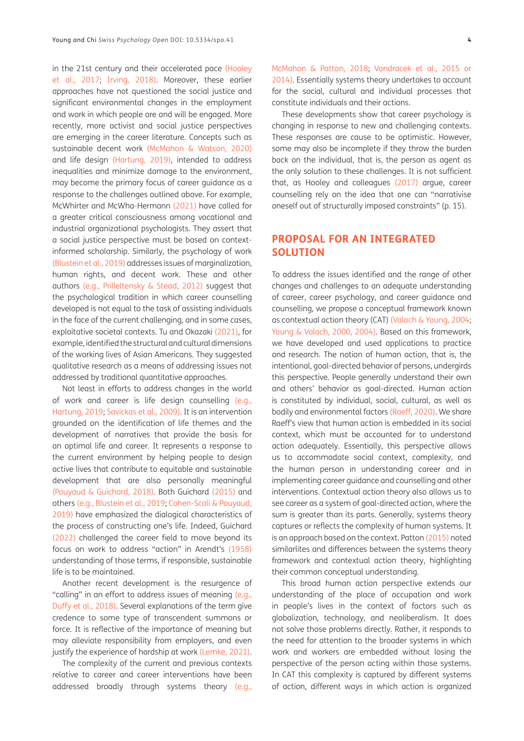in the 21st century and their accelerated pace [\(Hooley](#page-8-0) [et al., 2017](#page-8-0); [Irving, 2018\)](#page-8-4). Moreover, these earlier approaches have not questioned the social justice and significant environmental changes in the employment and work in which people are and will be engaged. More recently, more activist and social justice perspectives are emerging in the career literature. Concepts such as sustainable decent work [\(McMahon & Watson, 2020\)](#page-9-4) and life design [\(Hartung, 2019\)](#page-8-12), intended to address inequalities and minimize damage to the environment, may become the primary focus of career guidance as a response to the challenges outlined above. For example, McWhirter and McWha-Hermann [\(2021\)](#page-9-9) have called for a greater critical consciousness among vocational and industrial organizational psychologists. They assert that a social justice perspective must be based on contextinformed scholarship. Similarly, the psychology of work [\(Blustein et al., 2019\)](#page-8-13) addresses issues of marginalization, human rights, and decent work. These and other authors [\(e.g., Prilleltensky & Stead, 2012\)](#page-9-10) suggest that the psychological tradition in which career counselling developed is not equal to the task of assisting individuals in the face of the current challenging, and in some cases, exploitative societal contexts. Tu and Okazaki (2021), for example, identified the structural and cultural dimensions of the working lives of Asian Americans. They suggested qualitative research as a means of addressing issues not addressed by traditional quantitative approaches.

Not least in efforts to address changes in the world of work and career is life design counselling [\(e.g.,](#page-8-12) [Hartung, 2019](#page-8-12); [Savickas et al., 2009\).](#page-10-9) It is an intervention grounded on the identification of life themes and the development of narratives that provide the basis for an optimal life and career. It represents a response to the current environment by helping people to design active lives that contribute to equitable and sustainable development that are also personally meaningful [\(Pouyaud & Guichard, 2018\).](#page-9-11) Both Guichard [\(2015\)](#page-8-14) and others [\(e.g., Blustein et al., 2019;](#page-8-13) [Cohen-Scali & Pouyaud,](#page-8-15) [2019\)](#page-8-15) have emphasized the dialogical characteristics of the process of constructing one's life. Indeed, Guichard [\(2022\)](#page-8-16) challenged the career field to move beyond its focus on work to address "action" in Arendt's [\(1958\)](#page-7-6) understanding of those terms, if responsible, sustainable life is to be maintained.

Another recent development is the resurgence of "calling" in an effort to address issues of meaning [\(e.g.,](#page-8-17) [Duffy et al., 2018\).](#page-8-17) Several explanations of the term give credence to some type of transcendent summons or force. It is reflective of the importance of meaning but may alleviate responsibility from employers, and even justify the experience of hardship at work [\(Lemke, 2021\)](#page-9-12).

The complexity of the current and previous contexts relative to career and career interventions have been addressed broadly through systems theory [\(e.g.,](#page-9-13)

[McMahon & Patton, 2018](#page-9-13); Vondracek et al., 2015 or 2014). Essentially systems theory undertakes to account for the social, cultural and individual processes that constitute individuals and their actions.

These developments show that career psychology is changing in response to new and challenging contexts. These responses are cause to be optimistic. However, some may also be incomplete if they throw the burden back on the individual, that is, the person as agent as the only solution to these challenges. It is not sufficient that, as Hooley and colleagues [\(2017\)](#page-8-0) argue, career counselling rely on the idea that one can "narrativise oneself out of structurally imposed constraints" (p. 15).

# **PROPOSAL FOR AN INTEGRATED SOLUTION**

To address the issues identified and the range of other changes and challenges to an adequate understanding of career, career psychology, and career guidance and counselling, we propose a conceptual framework known as contextual action theory (CAT) (Valach & Young, 2004; Young & Valach, 2000, 2004). Based on this framework, we have developed and used applications to practice and research. The notion of human action, that is, the intentional, goal-directed behavior of persons, undergirds this perspective. People generally understand their own and others' behavior as goal-directed. Human action is constituted by individual, social, cultural, as well as bodily and environmental factors [\(Raeff, 2020\)](#page-9-14). We share Raeff's view that human action is embedded in its social context, which must be accounted for to understand action adequately. Essentially, this perspective allows us to accommodate social context, complexity, and the human person in understanding career and in implementing career guidance and counselling and other interventions. Contextual action theory also allows us to see career as a system of goal-directed action, where the sum is greater than its parts. Generally, systems theory captures or reflects the complexity of human systems. It is an approach based on the context. Patton [\(2015\)](#page-9-15) noted similarlites and differences between the systems theory framework and contextual action theory, highlighting their common conceptual understanding.

This broad human action perspective extends our understanding of the place of occupation and work in people's lives in the context of factors such as globalization, technology, and neoliberalism. It does not solve those problems directly. Rather, it responds to the need for attention to the broader systems in which work and workers are embedded without losing the perspective of the person acting within those systems. In CAT this complexity is captured by different systems of action, different ways in which action is organized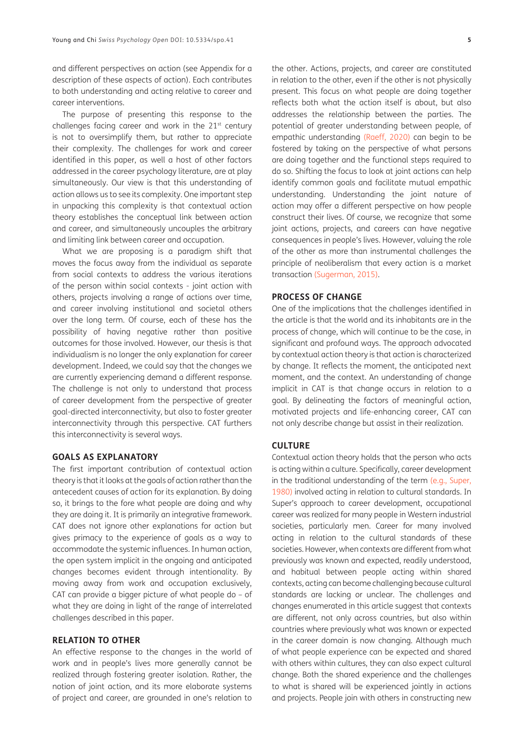and different perspectives on action (see Appendix for a description of these aspects of action). Each contributes to both understanding and acting relative to career and career interventions.

The purpose of presenting this response to the challenges facing career and work in the  $21<sup>st</sup>$  century is not to oversimplify them, but rather to appreciate their complexity. The challenges for work and career identified in this paper, as well a host of other factors addressed in the career psychology literature, are at play simultaneously. Our view is that this understanding of action allows us to see its complexity. One important step in unpacking this complexity is that contextual action theory establishes the conceptual link between action and career, and simultaneously uncouples the arbitrary and limiting link between career and occupation.

What we are proposing is a paradigm shift that moves the focus away from the individual as separate from social contexts to address the various iterations of the person within social contexts - joint action with others, projects involving a range of actions over time, and career involving institutional and societal others over the long term. Of course, each of these has the possibility of having negative rather than positive outcomes for those involved. However, our thesis is that individualism is no longer the only explanation for career development. Indeed, we could say that the changes we are currently experiencing demand a different response. The challenge is not only to understand that process of career development from the perspective of greater goal-directed interconnectivity, but also to foster greater interconnectivity through this perspective. CAT furthers this interconnectivity is several ways.

### **GOALS AS EXPLANATORY**

The first important contribution of contextual action theory is that it looks at the goals of action rather than the antecedent causes of action for its explanation. By doing so, it brings to the fore what people are doing and why they are doing it. It is primarily an integrative framework. CAT does not ignore other explanations for action but gives primacy to the experience of goals as a way to accommodate the systemic influences. In human action, the open system implicit in the ongoing and anticipated changes becomes evident through intentionality. By moving away from work and occupation exclusively, CAT can provide a bigger picture of what people do – of what they are doing in light of the range of interrelated challenges described in this paper.

# **RELATION TO OTHER**

An effective response to the changes in the world of work and in people's lives more generally cannot be realized through fostering greater isolation. Rather, the notion of joint action, and its more elaborate systems of project and career, are grounded in one's relation to

the other. Actions, projects, and career are constituted in relation to the other, even if the other is not physically present. This focus on what people are doing together reflects both what the action itself is about, but also addresses the relationship between the parties. The potential of greater understanding between people, of empathic understanding [\(Raeff, 2020\)](#page-9-14) can begin to be fostered by taking on the perspective of what persons are doing together and the functional steps required to do so. Shifting the focus to look at joint actions can help identify common goals and facilitate mutual empathic understanding. Understanding the joint nature of action may offer a different perspective on how people construct their lives. Of course, we recognize that some joint actions, projects, and careers can have negative consequences in people's lives. However, valuing the role of the other as more than instrumental challenges the principle of neoliberalism that every action is a market transaction [\(Sugerman, 2015\)](#page-10-10).

#### **PROCESS OF CHANGE**

One of the implications that the challenges identified in the article is that the world and its inhabitants are in the process of change, which will continue to be the case, in significant and profound ways. The approach advocated by contextual action theory is that action is characterized by change. It reflects the moment, the anticipated next moment, and the context. An understanding of change implicit in CAT is that change occurs in relation to a goal. By delineating the factors of meaningful action, motivated projects and life-enhancing career, CAT can not only describe change but assist in their realization.

#### **CULTURE**

Contextual action theory holds that the person who acts is acting within a culture. Specifically, career development in the traditional understanding of the term [\(e.g., Super,](#page-10-8)  [1980\)](#page-10-8) involved acting in relation to cultural standards. In Super's approach to career development, occupational career was realized for many people in Western industrial societies, particularly men. Career for many involved acting in relation to the cultural standards of these societies. However, when contexts are different from what previously was known and expected, readily understood, and habitual between people acting within shared contexts, acting can become challenging because cultural standards are lacking or unclear. The challenges and changes enumerated in this article suggest that contexts are different, not only across countries, but also within countries where previously what was known or expected in the career domain is now changing. Although much of what people experience can be expected and shared with others within cultures, they can also expect cultural change. Both the shared experience and the challenges to what is shared will be experienced jointly in actions and projects. People join with others in constructing new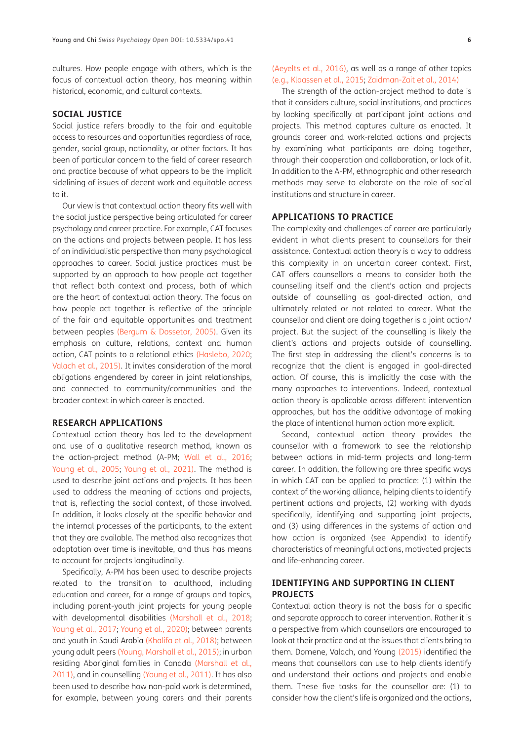cultures. How people engage with others, which is the focus of contextual action theory, has meaning within historical, economic, and cultural contexts.

#### **SOCIAL JUSTICE**

Social justice refers broadly to the fair and equitable access to resources and opportunities regardless of race, gender, social group, nationality, or other factors. It has been of particular concern to the field of career research and practice because of what appears to be the implicit sidelining of issues of decent work and equitable access to it.

Our view is that contextual action theory fits well with the social justice perspective being articulated for career psychology and career practice. For example, CAT focuses on the actions and projects between people. It has less of an individualistic perspective than many psychological approaches to career. Social justice practices must be supported by an approach to how people act together that reflect both context and process, both of which are the heart of contextual action theory. The focus on how people act together is reflective of the principle of the fair and equitable opportunities and treatment between peoples [\(Bergum & Dossetor, 2005\).](#page-8-18) Given its emphasis on culture, relations, context and human action, CAT points to a relational ethics [\(Haslebo, 2020](#page-8-7); Valach et al., 2015). It invites consideration of the moral obligations engendered by career in joint relationships, and connected to community/communities and the broader context in which career is enacted.

# **RESEARCH APPLICATIONS**

Contextual action theory has led to the development and use of a qualitative research method, known as the action-project method (A-PM; Wall et al., 2016; Young et al., 2005; Young et al., 2021). The method is used to describe joint actions and projects. It has been used to address the meaning of actions and projects, that is, reflecting the social context, of those involved. In addition, it looks closely at the specific behavior and the internal processes of the participants, to the extent that they are available. The method also recognizes that adaptation over time is inevitable, and thus has means to account for projects longitudinally.

Specifically, A-PM has been used to describe projects related to the transition to adulthood, including education and career, for a range of groups and topics, including parent-youth joint projects for young people with developmental disabilities [\(Marshall et al., 2018](#page-9-16); Young et al., 2017; Young et al., 2020); between parents and youth in Saudi Arabia [\(Khalifa et al., 2018\);](#page-9-17) between young adult peers (Young, Marshall et al., 2015); in urban residing Aboriginal families in Canada [\(Marshall et al.,](#page-9-16) [2011\)](#page-9-16), and in counselling (Young et al., 2011). It has also been used to describe how non-paid work is determined, for example, between young carers and their parents [\(Aeyelts et al., 2016\),](#page-7-7) as well as a range of other topics [\(e.g., Klaassen et al., 2015](#page-9-18); Zaidman-Zait et al., 2014)

The strength of the action-project method to date is that it considers culture, social institutions, and practices by looking specifically at participant joint actions and projects. This method captures culture as enacted. It grounds career and work-related actions and projects by examining what participants are doing together, through their cooperation and collaboration, or lack of it. In addition to the A-PM, ethnographic and other research methods may serve to elaborate on the role of social institutions and structure in career.

### **APPLICATIONS TO PRACTICE**

The complexity and challenges of career are particularly evident in what clients present to counsellors for their assistance. Contextual action theory is a way to address this complexity in an uncertain career context. First, CAT offers counsellors a means to consider both the counselling itself and the client's action and projects outside of counselling as goal-directed action, and ultimately related or not related to career. What the counsellor and client are doing together is a joint action/ project. But the subject of the counselling is likely the client's actions and projects outside of counselling. The first step in addressing the client's concerns is to recognize that the client is engaged in goal-directed action. Of course, this is implicitly the case with the many approaches to interventions. Indeed, contextual action theory is applicable across different intervention approaches, but has the additive advantage of making the place of intentional human action more explicit.

Second, contextual action theory provides the counsellor with a framework to see the relationship between actions in mid-term projects and long-term career. In addition, the following are three specific ways in which CAT can be applied to practice: (1) within the context of the working alliance, helping clients to identify pertinent actions and projects, (2) working with dyads specifically, identifying and supporting joint projects, and (3) using differences in the systems of action and how action is organized (see Appendix) to identify characteristics of meaningful actions, motivated projects and life-enhancing career.

# **IDENTIFYING AND SUPPORTING IN CLIENT PROJECTS**

Contextual action theory is not the basis for a specific and separate approach to career intervention. Rather it is a perspective from which counsellors are encouraged to look at their practice and at the issues that clients bring to them. Domene, Valach, and Young [\(2015\)](#page-8-19) identified the means that counsellors can use to help clients identify and understand their actions and projects and enable them. These five tasks for the counsellor are: (1) to consider how the client's life is organized and the actions,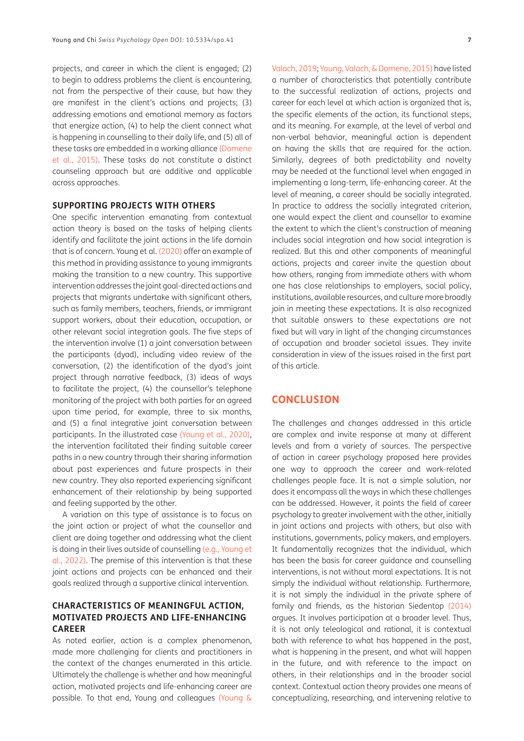projects, and career in which the client is engaged; (2) to begin to address problems the client is encountering, not from the perspective of their cause, but how they are manifest in the client's actions and projects; (3) addressing emotions and emotional memory as factors that energize action, (4) to help the client connect what is happening in counselling to their daily life, and (5) all of these tasks are embedded in a working alliance [\(Domene](#page-8-19) [et al., 2015\)](#page-8-19). These tasks do not constitute a distinct counseling approach but are additive and applicable across approaches.

#### **SUPPORTING PROJECTS WITH OTHERS**

One specific intervention emanating from contextual action theory is based on the tasks of helping clients identify and facilitate the joint actions in the life domain that is of concern. Young et al. (2020) offer an example of this method in providing assistance to young immigrants making the transition to a new country. This supportive intervention addresses the joint goal-directed actions and projects that migrants undertake with significant others, such as family members, teachers, friends, or immigrant support workers, about their education, occupation, or other relevant social integration goals. The five steps of the intervention involve (1) a joint conversation between the participants (dyad), including video review of the conversation, (2) the identification of the dyad's joint project through narrative feedback, (3) ideas of ways to facilitate the project, (4) the counsellor's telephone monitoring of the project with both parties for an agreed upon time period, for example, three to six months, and (5) a final integrative joint conversation between participants. In the illustrated case (Young et al., 2020), the intervention facilitated their finding suitable career paths in a new country through their sharing information about past experiences and future prospects in their new country. They also reported experiencing significant enhancement of their relationship by being supported and feeling supported by the other.

A variation on this type of assistance is to focus on the joint action or project of what the counsellor and client are doing together and addressing what the client is doing in their lives outside of counselling (e.g., Young et al., 2022). The premise of this intervention is that these joint actions and projects can be enhanced and their goals realized through a supportive clinical intervention.

### **CHARACTERISTICS OF MEANINGFUL ACTION, MOTIVATED PROJECTS AND LIFE-ENHANCING CAREER**

As noted earlier, action is a complex phenomenon, made more challenging for clients and practitioners in the context of the changes enumerated in this article. Ultimately the challenge is whether and how meaningful action, motivated projects and life-enhancing career are possible. To that end, Young and colleagues (Young &

Valach, 2019; Young, Valach, & Domene, 2015) have listed a number of characteristics that potentially contribute to the successful realization of actions, projects and career for each level at which action is organized that is, the specific elements of the action, its functional steps, and its meaning. For example, at the level of verbal and non-verbal behavior, meaningful action is dependent on having the skills that are required for the action. Similarly, degrees of both predictability and novelty may be needed at the functional level when engaged in implementing a long-term, life-enhancing career. At the level of meaning, a career should be socially integrated. In practice to address the socially integrated criterion, one would expect the client and counsellor to examine the extent to which the client's construction of meaning includes social integration and how social integration is realized. But this and other components of meaningful actions, projects and career invite the question about how others, ranging from immediate others with whom one has close relationships to employers, social policy, institutions, available resources, and culture more broadly join in meeting these expectations. It is also recognized that suitable answers to these expectations are not fixed but will vary in light of the changing circumstances of occupation and broader societal issues. They invite consideration in view of the issues raised in the first part of this article.

# **CONCLUSION**

The challenges and changes addressed in this article are complex and invite response at many at different levels and from a variety of sources. The perspective of action in career psychology proposed here provides one way to approach the career and work-related challenges people face. It is not a simple solution, nor does it encompass all the ways in which these challenges can be addressed. However, it points the field of career psychology to greater involvement with the other, initially in joint actions and projects with others, but also with institutions, governments, policy makers, and employers. It fundamentally recognizes that the individual, which has been the basis for career guidance and counselling interventions, is not without moral expectations. It is not simply the individual without relationship. Furthermore, it is not simply the individual in the private sphere of family and friends, as the historian Siedentop [\(2014\)](#page-10-11)  argues. It involves participation at a broader level. Thus, it is not only teleological and rational, it is contextual both with reference to what has happened in the past, what is happening in the present, and what will happen in the future, and with reference to the impact on others, in their relationships and in the broader social context. Contextual action theory provides one means of conceptualizing, researching, and intervening relative to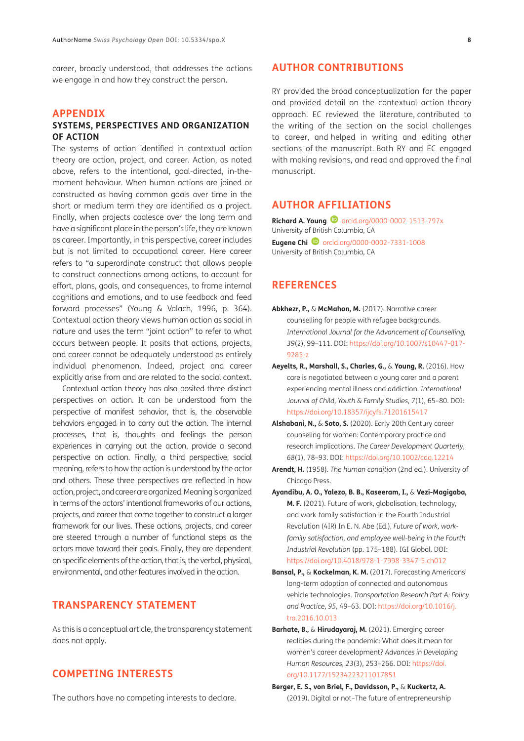career, broadly understood, that addresses the actions we engage in and how they construct the person.

# **APPENDIX**

# **SYSTEMS, PERSPECTIVES AND ORGANIZATION OF ACTION**

The systems of action identified in contextual action theory are action, project, and career. Action, as noted above, refers to the intentional, goal-directed, in-themoment behaviour. When human actions are joined or constructed as having common goals over time in the short or medium term they are identified as a project. Finally, when projects coalesce over the long term and have a significant place in the person's life, they are known as career. Importantly, in this perspective, career includes but is not limited to occupational career. Here career refers to "a superordinate construct that allows people to construct connections among actions, to account for effort, plans, goals, and consequences, to frame internal cognitions and emotions, and to use feedback and feed forward processes" (Young & Valach, 1996, p. 364). Contextual action theory views human action as social in nature and uses the term "joint action" to refer to what occurs between people. It posits that actions, projects, and career cannot be adequately understood as entirely individual phenomenon. Indeed, project and career explicitly arise from and are related to the social context.

Contextual action theory has also posited three distinct perspectives on action. It can be understood from the perspective of manifest behavior, that is, the observable behaviors engaged in to carry out the action. The internal processes, that is, thoughts and feelings the person experiences in carrying out the action, provide a second perspective on action. Finally, a third perspective, social meaning, refers to how the action is understood by the actor and others. These three perspectives are reflected in how action, project, and career are organized. Meaning is organized in terms of the actors' intentional frameworks of our actions, projects, and career that come together to construct a larger framework for our lives. These actions, projects, and career are steered through a number of functional steps as the actors move toward their goals. Finally, they are dependent on specific elements of the action, that is, the verbal, physical, environmental, and other features involved in the action.

# **TRANSPARENCY STATEMENT**

As this is a conceptual article, the transparency statement does not apply.

# **COMPETING INTERESTS**

The authors have no competing interests to declare.

# **AUTHOR CONTRIBUTIONS**

RY provided the broad conceptualization for the paper and provided detail on the contextual action theory approach. EC reviewed the literature, contributed to the writing of the section on the social challenges to career, and helped in writing and editing other sections of the manuscript. Both RY and EC engaged with making revisions, and read and approved the final manuscript.

# <span id="page-7-0"></span>**AUTHOR AFFILIATIONS**

**Richard A. Young D** [orcid.org/0000-0002-1513-797x](https://orcid.org/0000-0002-1513-797x) University of British Columbia, CA

**Eugene Chi D** [orcid.org/0000-0002-7331-1008](https://orcid.org/0000-0002-7331-1008) University of British Columbia, CA

# **REFERENCES**

- <span id="page-7-3"></span>**Abkhezr, P.,** & **McMahon, M.** (2017). Narrative career counselling for people with refugee backgrounds. *International Journal for the Advancement of Counselling, 39*(2), 99–111. DOI: [https://doi.org/10.1007/s10447-017-](https://doi.org/10.1007/s10447-017-9285-z) [9285-z](https://doi.org/10.1007/s10447-017-9285-z)
- <span id="page-7-7"></span>**Aeyelts, R., Marshall, S., Charles, G.,** & **Young, R.** (2016). How care is negotiated between a young carer and a parent experiencing mental illness and addiction. *International Journal of Child, Youth & Family Studies, 7*(1), 65–80. DOI: <https://doi.org/10.18357/ijcyfs.71201615417>
- **Alshabani, N.,** & **Soto, S.** (2020). Early 20th Century career counseling for women: Contemporary practice and research implications. *The Career Development Quarterly, 68*(1), 78–93. DOI: <https://doi.org/10.1002/cdq.12214>
- <span id="page-7-6"></span>**Arendt, H.** (1958). *The human condition* (2nd ed.). University of Chicago Press.
- <span id="page-7-1"></span>**Ayandibu, A. O., Yalezo, B. B., Kaseeram, I.,** & **Vezi-Magigaba, M. F.** (2021). Future of work, globalisation, technology, and work-family satisfaction in the Fourth Industrial Revolution (4IR) In E. N. Abe (Ed.), *Future of work, workfamily satisfaction, and employee well-being in the Fourth Industrial Revolution* (pp. 175–188). IGI Global. DOI: <https://doi.org/10.4018/978-1-7998-3347-5.ch012>
- <span id="page-7-4"></span>**Bansal, P.,** & **Kockelman, K. M.** (2017). Forecasting Americans' long-term adoption of connected and autonomous vehicle technologies. *Transportation Research Part A: Policy and Practice, 95*, 49–63. DOI: [https://doi.org/10.1016/j.](https://doi.org/10.1016/j.tra.2016.10.013) [tra.2016.10.013](https://doi.org/10.1016/j.tra.2016.10.013)
- <span id="page-7-2"></span>**Barhate, B.,** & **Hirudayaraj, M.** (2021). Emerging career realities during the pandemic: What does it mean for women's career development? *Advances in Developing Human Resources, 23*(3), 253–266. DOI: [https://doi.](https://doi.org/10.1177/15234223211017851) [org/10.1177/15234223211017851](https://doi.org/10.1177/15234223211017851)
- <span id="page-7-5"></span>**Berger, E. S., von Briel, F., Davidsson, P.,** & **Kuckertz, A.**  (2019). Digital or not–The future of entrepreneurship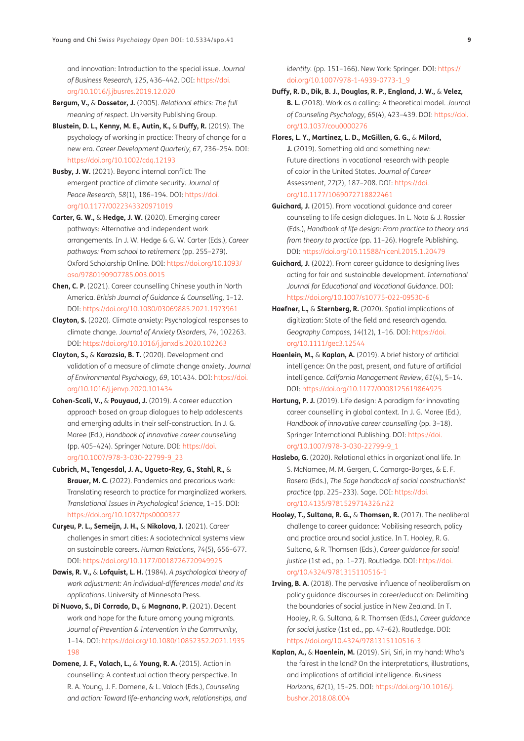and innovation: Introduction to the special issue. *Journal of Business Research, 125*, 436–442. DOI: [https://doi.](https://doi.org/10.1016/j.jbusres.2019.12.020) [org/10.1016/j.jbusres.2019.12.020](https://doi.org/10.1016/j.jbusres.2019.12.020)

- <span id="page-8-18"></span>**Bergum, V.,** & **Dossetor, J.** (2005). *Relational ethics: The full meaning of respect.* University Publishing Group.
- <span id="page-8-13"></span>**Blustein, D. L., Kenny, M. E., Autin, K.,** & **Duffy, R.** (2019). The psychology of working in practice: Theory of change for a new era. *Career Development Quarterly, 67*, 236–254. DOI: <https://doi.org/10.1002/cdq.12193>
- <span id="page-8-10"></span>**Busby, J. W.** (2021). Beyond internal conflict: The emergent practice of climate security. *Journal of Peace Research, 58*(1), 186–194. DOI: [https://doi.](https://doi.org/10.1177/0022343320971019) [org/10.1177/0022343320971019](https://doi.org/10.1177/0022343320971019)
- <span id="page-8-5"></span>**Carter, G. W.,** & **Hedge, J. W.** (2020). Emerging career pathways: Alternative and independent work arrangements. In J. W. Hedge & G. W. Carter (Eds.), *Career pathways: From school to retirement* (pp. 255–279)*.* Oxford Scholarship Online. DOI: [https://doi.org/10.1093/](https://doi.org/10.1093/oso/9780190907785.003.0015) [oso/9780190907785.003.0015](https://doi.org/10.1093/oso/9780190907785.003.0015)
- <span id="page-8-2"></span>**Chen, C. P.** (2021). Career counselling Chinese youth in North America. *British Journal of Guidance & Counselling,* 1–12. DOI:<https://doi.org/10.1080/03069885.2021.1973961>
- <span id="page-8-9"></span>**Clayton, S.** (2020). Climate anxiety: Psychological responses to climate change. *Journal of Anxiety Disorders, 74*, 102263. DOI:<https://doi.org/10.1016/j.janxdis.2020.102263>
- <span id="page-8-11"></span>**Clayton, S.,** & **Karazsia, B. T.** (2020). Development and validation of a measure of climate change anxiety. *Journal of Environmental Psychology, 69*, 101434. DOI: [https://doi.](https://doi.org/10.1016/j.jenvp.2020.101434) [org/10.1016/j.jenvp.2020.101434](https://doi.org/10.1016/j.jenvp.2020.101434)
- <span id="page-8-15"></span>**Cohen-Scali, V.,** & **Pouyaud, J.** (2019). A career education approach based on group dialogues to help adolescents and emerging adults in their self-construction. In J. G. Maree (Ed.), *Handbook of innovative career counselling* (pp. 405–424). Springer Nature. DOI: [https://doi.](https://doi.org/10.1007/978-3-030-22799-9_23) [org/10.1007/978-3-030-22799-9\\_23](https://doi.org/10.1007/978-3-030-22799-9_23)
- <span id="page-8-8"></span>**Cubrich, M., Tengesdal, J. A., Ugueto-Rey, G., Stahl, R.,** & **Brauer, M. C.** (2022). Pandemics and precarious work: Translating research to practice for marginalized workers. *Translational Issues in Psychological Science*, 1–15. DOI: <https://doi.org/10.1037/tps0000327>
- **Cur**ş**eu, P. L., Semeijn, J. H.,** & **Nikolova, I.** (2021). Career challenges in smart cities: A sociotechnical systems view on sustainable careers. *Human Relations, 74*(5), 656–677. DOI:<https://doi.org/10.1177/0018726720949925>
- **Dawis, R. V.,** & **Lofquist, L. H.** (1984). *A psychological theory of work adjustment: An individual-differences model and its applications*. University of Minnesota Press.
- <span id="page-8-1"></span>**Di Nuovo, S., Di Corrado, D.,** & **Magnano, P.** (2021). Decent work and hope for the future among young migrants. *Journal of Prevention & Intervention in the Community*, 1–14. DOI: [https://doi.org/10.1080/10852352.2021.1935](https://doi.org/10.1080/10852352.2021.1935198) [198](https://doi.org/10.1080/10852352.2021.1935198)
- <span id="page-8-19"></span>**Domene, J. F., Valach, L.,** & **Young, R. A.** (2015). Action in counselling: A contextual action theory perspective. In R. A. Young, J. F. Domene, & L. Valach (Eds.), *Counseling and action: Toward life-enhancing work, relationships, and*

*identity.* (pp. 151-166). New York: Springer. DOI: [https://](https://doi.org/10.1007/978-1-4939-0773-1_9) [doi.org/10.1007/978-1-4939-0773-1\\_9](https://doi.org/10.1007/978-1-4939-0773-1_9)

- <span id="page-8-17"></span>**Duffy, R. D., Dik, B. J., Douglas, R. P., England, J. W.,** & **Velez, B. L.** (2018). Work as a calling: A theoretical model. *Journal of Counseling Psychology, 65*(4), 423–439. DOI: [https://doi.](https://doi.org/10.1037/cou0000276) [org/10.1037/cou0000276](https://doi.org/10.1037/cou0000276)
- <span id="page-8-3"></span>**Flores, L. Y., Martinez, L. D., McGillen, G. G.,** & **Milord, J.** (2019). Something old and something new: Future directions in vocational research with people of color in the United States. *Journal of Career Assessment, 27*(2), 187–208. DOI: [https://doi.](https://doi.org/10.1177/1069072718822461) [org/10.1177/1069072718822461](https://doi.org/10.1177/1069072718822461)
- <span id="page-8-14"></span>**Guichard, J.** (2015). From vocational guidance and career counseling to life design dialogues. In L. Nota & J. Rossier (Eds.), *Handbook of life design: From practice to theory and from theory to practice* (pp. 11–26). Hogrefe Publishing. DOI: <https://doi.org/10.11588/nicenl.2015.1.20479>
- <span id="page-8-16"></span>**Guichard, J.** (2022). From career guidance to designing lives acting for fair and sustainable development. *International Journal for Educational and Vocational Guidance*. DOI: <https://doi.org/10.1007/s10775-022-09530-6>
- **Haefner, L.,** & **Sternberg, R.** (2020). Spatial implications of digitization: State of the field and research agenda. *Geography Compass, 14*(12), 1–16. DOI: [https://doi.](https://doi.org/10.1111/gec3.12544) [org/10.1111/gec3.12544](https://doi.org/10.1111/gec3.12544)
- <span id="page-8-6"></span>**Haenlein, M.,** & **Kaplan, A.** (2019). A brief history of artificial intelligence: On the past, present, and future of artificial intelligence. *California Management Review, 61*(4), 5–14. DOI: <https://doi.org/10.1177/0008125619864925>
- <span id="page-8-12"></span>**Hartung, P. J.** (2019). Life design: A paradigm for innovating career counselling in global context. In J. G. Maree (Ed.), *Handbook of innovative career counselling* (pp. 3–18). Springer International Publishing. DOI: [https://doi.](https://doi.org/10.1007/978-3-030-22799-9_1) [org/10.1007/978-3-030-22799-9\\_1](https://doi.org/10.1007/978-3-030-22799-9_1)
- <span id="page-8-7"></span>**Haslebo, G.** (2020). Relational ethics in organizational life. In S. McNamee, M. M. Gergen, C. Camargo-Borges, & E. F. Rasera (Eds.), *The Sage handbook of social constructionist practice* (pp. 225–233). Sage. DOI: [https://doi.](https://doi.org/10.4135/9781529714326.n22) [org/10.4135/9781529714326.n22](https://doi.org/10.4135/9781529714326.n22)
- <span id="page-8-0"></span>**Hooley, T., Sultana, R. G.,** & **Thomsen, R.** (2017). The neoliberal challenge to career guidance: Mobilising research, policy and practice around social justice. In T. Hooley, R. G. Sultana, & R. Thomsen (Eds.), *Career guidance for social justice* (1st ed., pp. 1–27). Routledge. DOI: [https://doi.](https://doi.org/10.4324/9781315110516-1) [org/10.4324/9781315110516-1](https://doi.org/10.4324/9781315110516-1)
- <span id="page-8-4"></span>**Irving, B. A.** (2018). The pervasive influence of neoliberalism on policy guidance discourses in career/education: Delimiting the boundaries of social justice in New Zealand. In T. Hooley, R. G. Sultana, & R. Thomsen (Eds.), *Career guidance for social justice* (1st ed., pp. 47–62). Routledge. DOI: <https://doi.org/10.4324/9781315110516-3>
- **Kaplan, A.,** & **Haenlein, M.** (2019). Siri, Siri, in my hand: Who's the fairest in the land? On the interpretations, illustrations, and implications of artificial intelligence. *Business Horizons, 62*(1), 15–25. DOI: [https://doi.org/10.1016/j.](https://doi.org/10.1016/j.bushor.2018.08.004) [bushor.2018.08.004](https://doi.org/10.1016/j.bushor.2018.08.004)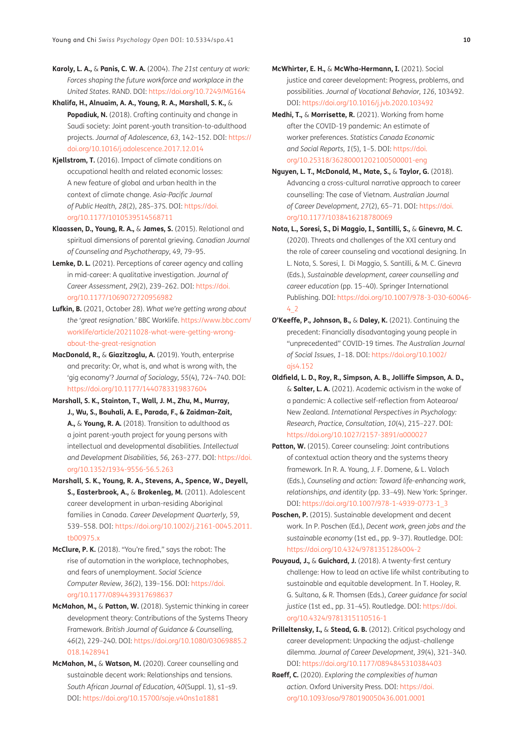- <span id="page-9-3"></span>**Karoly, L. A.,** & **Panis, C. W. A.** (2004). *The 21st century at work: Forces shaping the future workforce and workplace in the United States*. RAND. DOI:<https://doi.org/10.7249/MG164>
- <span id="page-9-17"></span>**Khalifa, H., Alnuaim, A. A., Young, R. A., Marshall, S. K.,** & **Popadiuk, N.** (2018). Crafting continuity and change in Saudi society: Joint parent-youth transition-to-adulthood projects. *Journal of Adolescence, 63*, 142–152. DOI: [https://](https://doi.org/10.1016/j.adolescence.2017.12.014) [doi.org/10.1016/j.adolescence.2017.12.014](https://doi.org/10.1016/j.adolescence.2017.12.014)
- <span id="page-9-7"></span>**Kjellstrom, T.** (2016). Impact of climate conditions on occupational health and related economic losses: A new feature of global and urban health in the context of climate change. *Asia-Pacific Journal of Public Health, 28*(2), 28S–37S. DOI: [https://doi.](https://doi.org/10.1177/1010539514568711) [org/10.1177/1010539514568711](https://doi.org/10.1177/1010539514568711)
- <span id="page-9-18"></span>**Klaassen, D., Young, R. A.,** & **James, S.** (2015). Relational and spiritual dimensions of parental grieving. *Canadian Journal of Counseling and Psychotherapy, 49*, 79–95.
- <span id="page-9-12"></span>**Lemke, D. L.** (2021). Perceptions of career agency and calling in mid-career: A qualitative investigation. *Journal of Career Assessment, 29*(2), 239–262. DOI: [https://doi.](https://doi.org/10.1177/1069072720956982) [org/10.1177/1069072720956982](https://doi.org/10.1177/1069072720956982)
- **Lufkin, B.** (2021, October 28). *What we're getting wrong about the 'great resignation.'* BBC Worklife. [https://www.bbc.com/](https://www.bbc.com/worklife/article/20211028-what-were-getting-wrong-about-the-great-resignation) [worklife/article/20211028-what-were-getting-wrong](https://www.bbc.com/worklife/article/20211028-what-were-getting-wrong-about-the-great-resignation)[about-the-great-resignation](https://www.bbc.com/worklife/article/20211028-what-were-getting-wrong-about-the-great-resignation)
- <span id="page-9-0"></span>**MacDonald, R.,** & **Giazitzoglu, A.** (2019). Youth, enterprise and precarity: Or, what is, and what is wrong with, the 'gig economy'? *Journal of Sociology, 55*(4), 724–740. DOI: <https://doi.org/10.1177/1440783319837604>
- **Marshall, S. K., Stainton, T., Wall, J. M., Zhu, M., Murray, J., Wu, S., Bouhali, A. E., Parada, F., & Zaidman-Zait, A.,** & **Young, R. A.** (2018). Transition to adulthood as a joint parent-youth project for young persons with intellectual and developmental disabilities. *Intellectual and Development Disabilities, 56,* 263–277. DOI: [https://doi.](https://doi.org/10.1352/1934-9556-56.5.263) [org/10.1352/1934-9556-56.5.263](https://doi.org/10.1352/1934-9556-56.5.263)
- <span id="page-9-16"></span>**Marshall, S. K., Young, R. A., Stevens, A., Spence, W., Deyell, S., Easterbrook, A.,** & **Brokenleg, M.** (2011). Adolescent career development in urban-residing Aboriginal families in Canada. *Career Development Quarterly, 59,*  539–558. DOI: [https://doi.org/10.1002/j.2161-0045.2011.](https://doi.org/10.1002/j.2161-0045.2011.tb00975.x) [tb00975.x](https://doi.org/10.1002/j.2161-0045.2011.tb00975.x)
- **McClure, P. K.** (2018). "You're fired," says the robot: The rise of automation in the workplace, technophobes, and fears of unemployment. *Social Science Computer Review, 36*(2), 139–156. DOI: [https://doi.](https://doi.org/10.1177/0894439317698637) [org/10.1177/0894439317698637](https://doi.org/10.1177/0894439317698637)
- <span id="page-9-13"></span>**McMahon, M.,** & **Patton, W.** (2018). Systemic thinking in career development theory: Contributions of the Systems Theory Framework. *British Journal of Guidance & Counselling, 46*(2), 229–240. DOI: [https://doi.org/10.1080/03069885.2](https://doi.org/10.1080/03069885.2018.1428941) [018.1428941](https://doi.org/10.1080/03069885.2018.1428941)
- <span id="page-9-4"></span>**McMahon, M.,** & **Watson, M.** (2020). Career counselling and sustainable decent work: Relationships and tensions. *South African Journal of Education, 40*(Suppl. 1), s1–s9. DOI:<https://doi.org/10.15700/saje.v40ns1a1881>
- <span id="page-9-9"></span>**McWhirter, E. H.,** & **McWha-Hermann, I.** (2021). Social justice and career development: Progress, problems, and possibilities. *Journal of Vocational Behavior, 126*, 103492. DOI: <https://doi.org/10.1016/j.jvb.2020.103492>
- <span id="page-9-6"></span>**Medhi, T.,** & **Morrisette, R.** (2021). Working from home after the COVID-19 pandemic: An estimate of worker preferences. *Statistics Canada Economic and Social Reports, 1*(5), 1–5. DOI: [https://doi.](https://doi.org/10.25318/36280001202100500001-eng) [org/10.25318/36280001202100500001-eng](https://doi.org/10.25318/36280001202100500001-eng)
- <span id="page-9-1"></span>**Nguyen, L. T., McDonald, M., Mate, S.,** & **Taylor, G.** (2018). Advancing a cross-cultural narrative approach to career counselling: The case of Vietnam. *Australian Journal of Career Development, 27*(2), 65–71. DOI: [https://doi.](https://doi.org/10.1177/1038416218780069) [org/10.1177/1038416218780069](https://doi.org/10.1177/1038416218780069)
- <span id="page-9-5"></span>**Nota, L., Soresi, S., Di Maggio, I., Santilli, S.,** & **Ginevra, M. C.**  (2020). Threats and challenges of the XXI century and the role of career counseling and vocational designing. In L. Nota, S. Soresi, I. Di Maggio, S. Santilli, & M. C. Ginevra (Eds.), *Sustainable development, career counselling and career education* (pp. 15–40). Springer International Publishing. DOI: [https://doi.org/10.1007/978-3-030-60046-](https://doi.org/10.1007/978-3-030-60046-4_2)  $4.2$
- **O'Keeffe, P., Johnson, B.,** & **Daley, K.** (2021). Continuing the precedent: Financially disadvantaging young people in "unprecedented" COVID-19 times. *The Australian Journal of Social Issues, 1*–18. DOI: [https://doi.org/10.1002/](https://doi.org/10.1002/ajs4.152) [ajs4.152](https://doi.org/10.1002/ajs4.152)
- <span id="page-9-8"></span>**Oldfield, L. D., Roy, R., Simpson, A. B., Jolliffe Simpson, A. D.,** & **Salter, L. A.** (2021). Academic activism in the wake of a pandemic: A collective self-reflection from Aotearoa/ New Zealand. *International Perspectives in Psychology: Research, Practice, Consultation, 10*(4), 215–227. DOI: <https://doi.org/10.1027/2157-3891/a000027>
- <span id="page-9-15"></span>Patton, W. (2015). Career counseling: Joint contributions of contextual action theory and the systems theory framework. In R. A. Young, J. F. Domene, & L. Valach (Eds.), *Counseling and action: Toward life-enhancing work, relationships, and identity* (pp. 33–49). New York: Springer. DOI: [https://doi.org/10.1007/978-1-4939-0773-1\\_3](https://doi.org/10.1007/978-1-4939-0773-1_3)
- <span id="page-9-2"></span>**Poschen, P.** (2015). Sustainable development and decent work. In P. Poschen (Ed.), *Decent work, green jobs and the sustainable economy* (1st ed., pp. 9–37). Routledge. DOI: <https://doi.org/10.4324/9781351284004-2>
- <span id="page-9-11"></span>**Pouyaud, J.,** & **Guichard, J.** (2018). A twenty-first century challenge: How to lead an active life whilst contributing to sustainable and equitable development. In T. Hooley, R. G. Sultana, & R. Thomsen (Eds.), *Career guidance for social justice* (1st ed., pp. 31–45). Routledge. DOI: [https://doi.](https://doi.org/10.4324/9781315110516-1) [org/10.4324/9781315110516-1](https://doi.org/10.4324/9781315110516-1)
- <span id="page-9-10"></span>**Prilleltensky, I.,** & **Stead, G. B.** (2012). Critical psychology and career development: Unpacking the adjust–challenge dilemma. *Journal of Career Development, 39*(4), 321–340. DOI: <https://doi.org/10.1177/0894845310384403>
- <span id="page-9-14"></span>**Raeff, C.** (2020). *Exploring the complexities of human action*. Oxford University Press. DOI: [https://doi.](https://doi.org/10.1093/oso/9780190050436.001.0001) [org/10.1093/oso/9780190050436.001.0001](https://doi.org/10.1093/oso/9780190050436.001.0001)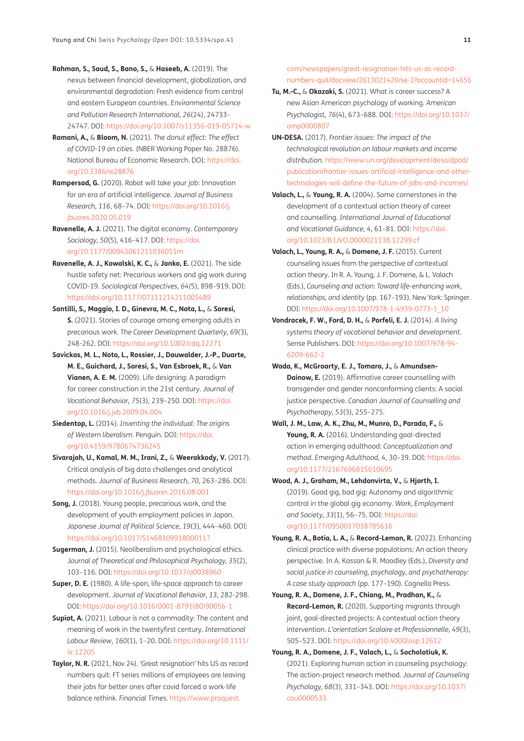<span id="page-10-7"></span>**Rahman, S., Saud, S., Bano, S.,** & **Haseeb, A.** (2019). The nexus between financial development, globalization, and environmental degradation: Fresh evidence from central and eastern European countries. *Environmental Science and Pollution Research International, 26*(24), 24733– 24747. DOI: <https://doi.org/10.1007/s11356-019-05714-w>

- <span id="page-10-4"></span>**Ramani, A.,** & **Bloom, N.** (2021). *The donut effect: The effect of COVID-19 on cities.* (NBER Working Paper No. 28876). National Bureau of Economic Research. DOI: [https://doi.](https://doi.org/10.3386/w28876) [org/10.3386/w28876](https://doi.org/10.3386/w28876)
- <span id="page-10-6"></span>**Rampersad, G.** (2020). Robot will take your job: Innovation for an era of artificial intelligence. *Journal of Business Research, 116*, 68–74. DOI: [https://doi.org/10.1016/j.](https://doi.org/10.1016/j.jbusres.2020.05.019) [jbusres.2020.05.019](https://doi.org/10.1016/j.jbusres.2020.05.019)
- <span id="page-10-1"></span>**Ravenelle, A. J.** (2021). The digital economy. *Contemporary Sociology, 50*(5), 416–417. DOI: [https://doi.](https://doi.org/10.1177/00943061211036051m) [org/10.1177/00943061211036051m](https://doi.org/10.1177/00943061211036051m)
- **Ravenelle, A. J., Kowalski, K. C.,** & **Janko, E.** (2021). The side hustle safety net: Precarious workers and gig work during COVID-19. *Sociological Perspectives, 64(*5), 898–919. DOI: <https://doi.org/10.1177/07311214211005489>
- <span id="page-10-2"></span>**Santilli, S., Maggio, I. D., Ginevra, M. C., Nota, L.,** & **Soresi, S.** (2021). Stories of courage among emerging adults in precarious work. *The Career Development Quarterly, 69(*3), 248-262. DOI: <https://doi.org/10.1002/cdq.12271>
- <span id="page-10-9"></span>**Savickas, M. L., Nota, L., Rossier, J., Dauwalder, J.-P., Duarte, M. E., Guichard, J., Soresi, S., Van Esbroek, R.,** & **Van Vianen, A. E. M.** (2009). Life designing: A paradigm for career construction in the 21st century. *Journal of Vocational Behavior, 75*(3), 239–250. DOI: [https://doi.](https://doi.org/10.1016/j.jvb.2009.04.004) [org/10.1016/j.jvb.2009.04.004](https://doi.org/10.1016/j.jvb.2009.04.004)
- <span id="page-10-11"></span>**Siedentop, L.** (2014). *Inventing the individual: The origins of Western liberalism*. Penguin. DOI: [https://doi.](https://doi.org/10.4159/9780674736245) [org/10.4159/9780674736245](https://doi.org/10.4159/9780674736245)
- <span id="page-10-5"></span>**Sivarajah, U., Kamal, M. M., Irani, Z.,** & **Weerakkody, V.** (2017). Critical analysis of big data challenges and analytical methods. *Journal of Business Research, 70*, 263–286. DOI: <https://doi.org/10.1016/j.jbusres.2016.08.001>
- <span id="page-10-3"></span>**Song, J.** (2018). Young people, precarious work, and the development of youth employment policies in Japan. *Japanese Journal of Political Science, 19*(3), 444–460. DOI: <https://doi.org/10.1017/S1468109918000117>
- <span id="page-10-10"></span>**Sugerman, J.** (2015). Neoliberalism and psychological ethics. J*ournal of Theoretical and Philosophical Psychology, 35*(2), 103–116. DOI: <https://doi.org/10.1037/a0038960>
- <span id="page-10-8"></span>**Super, D. E.** (1980). A life-span, life-space approach to career development. *Journal of Vocational Behavior, 13*, 282-298. DOI: [https://doi.org/10.1016/0001-8791\(80\)90056-1](https://doi.org/10.1016/0001-8791(80)90056-1)
- <span id="page-10-0"></span>**Supiot, A.** (2021). Labour is not a commodity: The content and meaning of work in the twentyfirst century. *International Labour Review, 160*(1), 1–20. DOI: [https://doi.org/10.1111/](https://doi.org/10.1111/ilr.12205) [ilr.12205](https://doi.org/10.1111/ilr.12205)
- **Taylor, N. R.** (2021, Nov 24). 'Great resignation' hits US as record numbers quit: FT series millions of employees are leaving their jobs for better ones after covid forced a work-life balance rethink. *Financial Times.* [https://www.proquest.](https://www.proquest.com/newspapers/great-resignation-hits-us-as-record-numbers-quit/docview/2613021420/se-2?accountid=14656)

[com/newspapers/great-resignation-hits-us-as-record](https://www.proquest.com/newspapers/great-resignation-hits-us-as-record-numbers-quit/docview/2613021420/se-2?accountid=14656)[numbers-quit/docview/2613021420/se-2?accountid=14656](https://www.proquest.com/newspapers/great-resignation-hits-us-as-record-numbers-quit/docview/2613021420/se-2?accountid=14656)

- **Tu, M.-C.,** & **Okazaki, S.** (2021). What is career success? A new Asian American psychology of working. *American Psychologist, 76*(4), 673–688. DOI: [https://doi.org/10.1037/](https://doi.org/10.1037/amp0000807) [amp0000807](https://doi.org/10.1037/amp0000807)
- **UN-DESA.** (2017). *Frontier issues: The impact of the technological revolution on labour markets and income distribution.* [https://www.un.org/development/desa/dpad/](https://www.un.org/development/desa/dpad/publication/frontier-issues-artificial-intelligence-and-other-technologies-will-define-the-future-of-jobs-and-incomes/) [publication/frontier-issues-artificial-intelligence-and-other](https://www.un.org/development/desa/dpad/publication/frontier-issues-artificial-intelligence-and-other-technologies-will-define-the-future-of-jobs-and-incomes/)[technologies-will-define-the-future-of-jobs-and-incomes/](https://www.un.org/development/desa/dpad/publication/frontier-issues-artificial-intelligence-and-other-technologies-will-define-the-future-of-jobs-and-incomes/)
- **Valach, L.,** & **Young, R. A.** (2004). Some cornerstones in the development of a contextual action theory of career and counselling. *International Journal of Educational and Vocational Guidance, 4*, 61–81. DOI: [https://doi.](https://doi.org/10.1023/B:IJVO.0000021138.12299.cf) [org/10.1023/B:IJVO.0000021138.12299.cf](https://doi.org/10.1023/B:IJVO.0000021138.12299.cf)
- **Valach, L., Young, R. A.,** & **Domene, J. F.** (2015). Current counseling issues from the perspective of contextual action theory. In R. A. Young, J. F. Domene, & L. Valach (Eds.), *Counseling and action: Toward life-enhancing work, relationships, and identity* (pp. 167–193). New York: Springer. DOI: [https://doi.org/10.1007/978-1-4939-0773-1\\_10](https://doi.org/10.1007/978-1-4939-0773-1_10)
- **Vondracek, F. W., Ford, D. H.,** & **Porfeli, E. J.** (2014). *A living systems theory of vocational behavior and development*. Sense Publishers. DOI: [https://doi.org/10.1007/978-94-](https://doi.org/10.1007/978-94-6209-662-2) [6209-662-2](https://doi.org/10.1007/978-94-6209-662-2)
- **Wada, K., McGroarty, E. J., Tomaro, J.,** & **Amundsen-Dainow, E.** (2019). Affirmative career counselling with transgender and gender nonconforming clients: A social justice perspective. *Canadian Journal of Counselling and Psychotherapy, 53*(3), 255–275.
- **Wall, J. M., Law, A. K., Zhu, M., Munro, D., Parada, F.,** & Young, R. A. (2016). Understanding goal-directed action in emerging adulthood: *Conceptualization and method. Emerging Adulthood, 4*, 30–39. DOI: [https://doi.](https://doi.org/10.1177/2167696815610695) [org/10.1177/2167696815610695](https://doi.org/10.1177/2167696815610695)
- **Wood, A. J., Graham, M., Lehdonvirta, V.,** & **Hjorth, I.** (2019). Good gig, bad gig: Autonomy and algorithmic control in the global gig economy. *Work, Employment and Society, 33*(1), 56–75. DOI: https://doi. org/10.1177/0950017018785616
- **Young, R. A., Botia, L. A.,** & **Record-Lemon, R.** (2022). Enhancing clinical practice with diverse populations: An action theory perspective. In A. Kassan & R. Moodley (Eds.), *Diversity and social justice in counseling, psychology, and psychotherapy: A case study approach* (pp. 177–190). Cognella Press.
- **Young, R. A., Domene, J. F., Chiang, M., Pradhan, K.,** & **Record-Lemon, R.** (2020). Supporting migrants through joint, goal-directed projects: A contextual action theory intervention. *L'orientation Scolaire et Professionnelle, 49*(3), 505–523. DOI:<https://doi.org/10.4000/osp.12612>
- **Young, R. A., Domene, J. F., Valach, L.,** & **Socholotiuk, K.** (2021). Exploring human action in counseling psychology: The action-project research method. *Journal of Counseling Psychology, 68*(3), 331–343. DOI: [https://doi.org/10.1037/](https://doi.org/10.1037/cou0000533) [cou0000533](https://doi.org/10.1037/cou0000533)